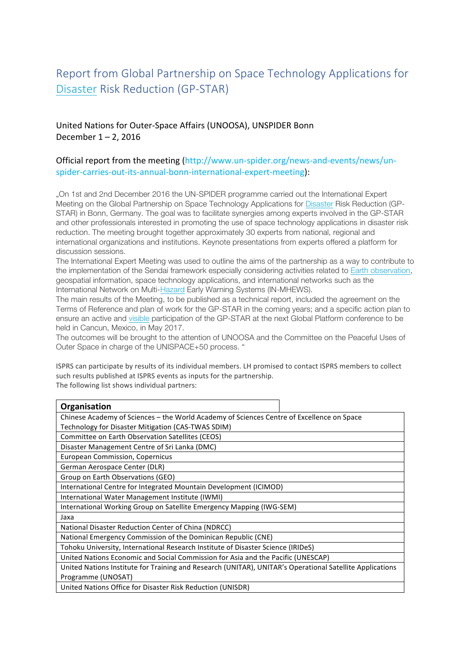## Report from Global Partnership on Space Technology Applications for Disaster Risk Reduction (GP-STAR)

## United Nations for Outer-Space Affairs (UNOOSA), UNSPIDER Bonn December  $1 - 2$ , 2016

## Official report from the meeting (http://www.un-spider.org/news-and-events/news/unspider-carries-out-its-annual-bonn-international-expert-meeting):

"On 1st and 2nd December 2016 the UN-SPIDER programme carried out the International Expert Meeting on the Global Partnership on Space Technology Applications for Disaster Risk Reduction (GP-STAR) in Bonn, Germany. The goal was to facilitate synergies among experts involved in the GP-STAR and other professionals interested in promoting the use of space technology applications in disaster risk reduction. The meeting brought together approximately 30 experts from national, regional and international organizations and institutions. Keynote presentations from experts offered a platform for discussion sessions.

The International Expert Meeting was used to outline the aims of the partnership as a way to contribute to the implementation of the Sendai framework especially considering activities related to Earth observation, geospatial information, space technology applications, and international networks such as the International Network on Multi-Hazard Early Warning Systems (IN-MHEWS).

The main results of the Meeting, to be published as a technical report, included the agreement on the Terms of Reference and plan of work for the GP-STAR in the coming years; and a specific action plan to ensure an active and visible participation of the GP-STAR at the next Global Platform conference to be held in Cancun, Mexico, in May 2017.

The outcomes will be brought to the attention of UNOOSA and the Committee on the Peaceful Uses of Outer Space in charge of the UNISPACE+50 process. "

ISPRS can participate by results of its individual members. LH promised to contact ISPRS members to collect such results published at ISPRS events as inputs for the partnership. The following list shows individual partners:

| Organisation                                                                                             |
|----------------------------------------------------------------------------------------------------------|
| Chinese Academy of Sciences – the World Academy of Sciences Centre of Excellence on Space                |
| Technology for Disaster Mitigation (CAS-TWAS SDIM)                                                       |
| Committee on Earth Observation Satellites (CEOS)                                                         |
| Disaster Management Centre of Sri Lanka (DMC)                                                            |
| European Commission, Copernicus                                                                          |
| German Aerospace Center (DLR)                                                                            |
| Group on Earth Observations (GEO)                                                                        |
| International Centre for Integrated Mountain Development (ICIMOD)                                        |
| International Water Management Institute (IWMI)                                                          |
| International Working Group on Satellite Emergency Mapping (IWG-SEM)                                     |
| Jaxa                                                                                                     |
| National Disaster Reduction Center of China (NDRCC)                                                      |
| National Emergency Commission of the Dominican Republic (CNE)                                            |
| Tohoku University, International Research Institute of Disaster Science (IRIDeS)                         |
| United Nations Economic and Social Commission for Asia and the Pacific (UNESCAP)                         |
| United Nations Institute for Training and Research (UNITAR), UNITAR's Operational Satellite Applications |
| Programme (UNOSAT)                                                                                       |
| United Nations Office for Disaster Risk Reduction (UNISDR)                                               |